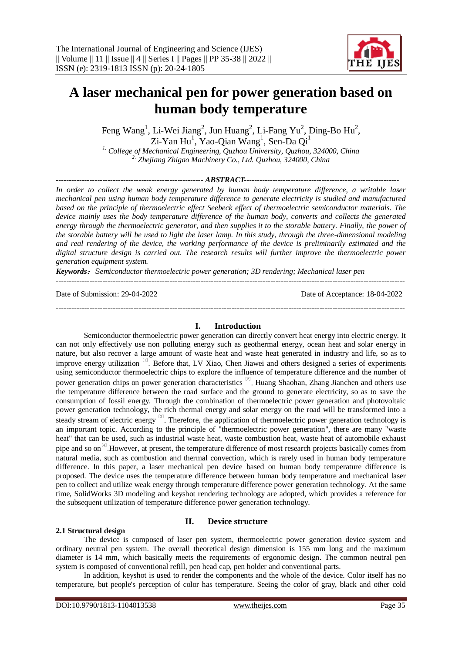

# **A laser mechanical pen for power generation based on human body temperature**

Feng Wang<sup>1</sup>, Li-Wei Jiang<sup>2</sup>, Jun Huang<sup>2</sup>, Li-Fang Yu<sup>2</sup>, Ding-Bo Hu<sup>2</sup>,  $Zi$ -Yan Hu<sup>1</sup>, Yao-Qian Wang<sup>1</sup>, Sen-Da Qi<sup>1</sup>

*1. College of Mechanical Engineering, Quzhou University, Quzhou, 324000, China 2. Zhejiang Zhigao Machinery Co., Ltd. Quzhou, 324000, China*

*--------------------------------------------------------- ABSTRACT------------------------------------------------------------*

*In order to collect the weak energy generated by human body temperature difference, a writable laser mechanical pen using human body temperature difference to generate electricity is studied and manufactured based on the principle of thermoelectric effect Seebeck effect of thermoelectric semiconductor materials. The device mainly uses the body temperature difference of the human body, converts and collects the generated energy through the thermoelectric generator, and then supplies it to the storable battery. Finally, the power of the storable battery will be used to light the laser lamp. In this study, through the three-dimensional modeling and real rendering of the device, the working performance of the device is preliminarily estimated and the digital structure design is carried out. The research results will further improve the thermoelectric power generation equipment system.*

*Keywords*:*Semiconductor thermoelectric power generation; 3D rendering; Mechanical laser pen*

Date of Submission: 29-04-2022 Date of Acceptance: 18-04-2022

**I. Introduction**

---------------------------------------------------------------------------------------------------------------------------------------

Semiconductor thermoelectric power generation can directly convert heat energy into electric energy. It can not only effectively use non polluting energy such as geothermal energy, ocean heat and solar energy in nature, but also recover a large amount of waste heat and waste heat generated in industry and life, so as to improve energy utilization <sup>[1]</sup>. Before that, LV Xiao, Chen Jiawei and others designed a series of experiments using semiconductor thermoelectric chips to explore the influence of temperature difference and the number of power generation chips on power generation characteristics <sup>[2]</sup>. Huang Shaohan, Zhang Jianchen and others use the temperature difference between the road surface and the ground to generate electricity, so as to save the consumption of fossil energy. Through the combination of thermoelectric power generation and photovoltaic power generation technology, the rich thermal energy and solar energy on the road will be transformed into a steady stream of electric energy <sup>[3]</sup>. Therefore, the application of thermoelectric power generation technology is an important topic. According to the principle of "thermoelectric power generation", there are many "waste heat" that can be used, such as industrial waste heat, waste combustion heat, waste heat of automobile exhaust pipe and so on<sup>[4]</sup>. However, at present, the temperature difference of most research projects basically comes from natural media, such as combustion and thermal convection, which is rarely used in human body temperature difference. In this paper, a laser mechanical pen device based on human body temperature difference is proposed. The device uses the temperature difference between human body temperature and mechanical laser pen to collect and utilize weak energy through temperature difference power generation technology. At the same time, SolidWorks 3D modeling and keyshot rendering technology are adopted, which provides a reference for the subsequent utilization of temperature difference power generation technology.

### **2.1 Structural design**

## **II. Device structure**

The device is composed of laser pen system, thermoelectric power generation device system and ordinary neutral pen system. The overall theoretical design dimension is 155 mm long and the maximum diameter is 14 mm, which basically meets the requirements of ergonomic design. The common neutral pen system is composed of conventional refill, pen head cap, pen holder and conventional parts.

In addition, keyshot is used to render the components and the whole of the device. Color itself has no temperature, but people's perception of color has temperature. Seeing the color of gray, black and other cold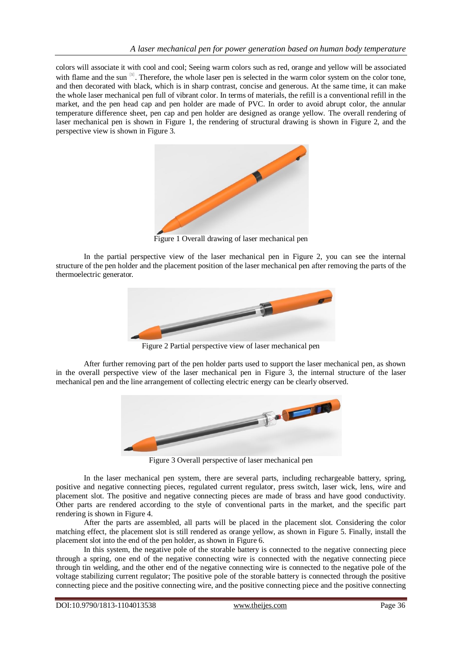colors will associate it with cool and cool; Seeing warm colors such as red, orange and yellow will be associated with flame and the sun<sup>[5]</sup>. Therefore, the whole laser pen is selected in the warm color system on the color tone, and then decorated with black, which is in sharp contrast, concise and generous. At the same time, it can make the whole laser mechanical pen full of vibrant color. In terms of materials, the refill is a conventional refill in the market, and the pen head cap and pen holder are made of PVC. In order to avoid abrupt color, the annular temperature difference sheet, pen cap and pen holder are designed as orange yellow. The overall rendering of laser mechanical pen is shown in Figure 1, the rendering of structural drawing is shown in Figure 2, and the perspective view is shown in Figure 3.



Figure 1 Overall drawing of laser mechanical pen

In the partial perspective view of the laser mechanical pen in Figure 2, you can see the internal structure of the pen holder and the placement position of the laser mechanical pen after removing the parts of the thermoelectric generator.



Figure 2 Partial perspective view of laser mechanical pen

After further removing part of the pen holder parts used to support the laser mechanical pen, as shown in the overall perspective view of the laser mechanical pen in Figure 3, the internal structure of the laser mechanical pen and the line arrangement of collecting electric energy can be clearly observed.



Figure 3 Overall perspective of laser mechanical pen

In the laser mechanical pen system, there are several parts, including rechargeable battery, spring, positive and negative connecting pieces, regulated current regulator, press switch, laser wick, lens, wire and placement slot. The positive and negative connecting pieces are made of brass and have good conductivity. Other parts are rendered according to the style of conventional parts in the market, and the specific part rendering is shown in Figure 4.

After the parts are assembled, all parts will be placed in the placement slot. Considering the color matching effect, the placement slot is still rendered as orange yellow, as shown in Figure 5. Finally, install the placement slot into the end of the pen holder, as shown in Figure 6.

In this system, the negative pole of the storable battery is connected to the negative connecting piece through a spring, one end of the negative connecting wire is connected with the negative connecting piece through tin welding, and the other end of the negative connecting wire is connected to the negative pole of the voltage stabilizing current regulator; The positive pole of the storable battery is connected through the positive connecting piece and the positive connecting wire, and the positive connecting piece and the positive connecting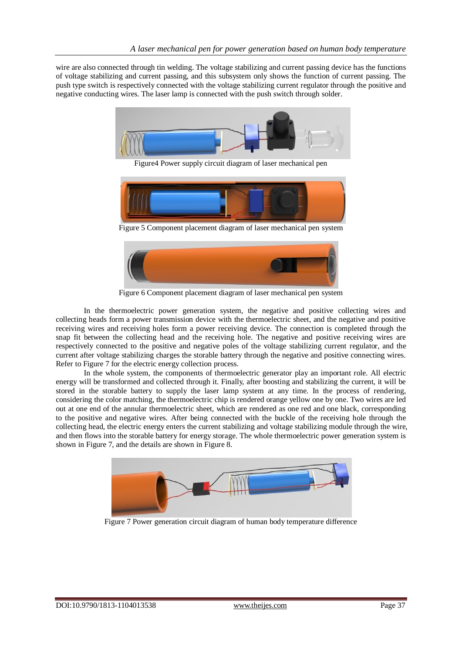wire are also connected through tin welding. The voltage stabilizing and current passing device has the functions of voltage stabilizing and current passing, and this subsystem only shows the function of current passing. The push type switch is respectively connected with the voltage stabilizing current regulator through the positive and negative conducting wires. The laser lamp is connected with the push switch through solder.



Figure4 Power supply circuit diagram of laser mechanical pen



Figure 5 Component placement diagram of laser mechanical pen system



Figure 6 Component placement diagram of laser mechanical pen system

In the thermoelectric power generation system, the negative and positive collecting wires and collecting heads form a power transmission device with the thermoelectric sheet, and the negative and positive receiving wires and receiving holes form a power receiving device. The connection is completed through the snap fit between the collecting head and the receiving hole. The negative and positive receiving wires are respectively connected to the positive and negative poles of the voltage stabilizing current regulator, and the current after voltage stabilizing charges the storable battery through the negative and positive connecting wires. Refer to Figure 7 for the electric energy collection process.

In the whole system, the components of thermoelectric generator play an important role. All electric energy will be transformed and collected through it. Finally, after boosting and stabilizing the current, it will be stored in the storable battery to supply the laser lamp system at any time. In the process of rendering, considering the color matching, the thermoelectric chip is rendered orange yellow one by one. Two wires are led out at one end of the annular thermoelectric sheet, which are rendered as one red and one black, corresponding to the positive and negative wires. After being connected with the buckle of the receiving hole through the collecting head, the electric energy enters the current stabilizing and voltage stabilizing module through the wire, and then flows into the storable battery for energy storage. The whole thermoelectric power generation system is shown in Figure 7, and the details are shown in Figure 8.



Figure 7 Power generation circuit diagram of human body temperature difference